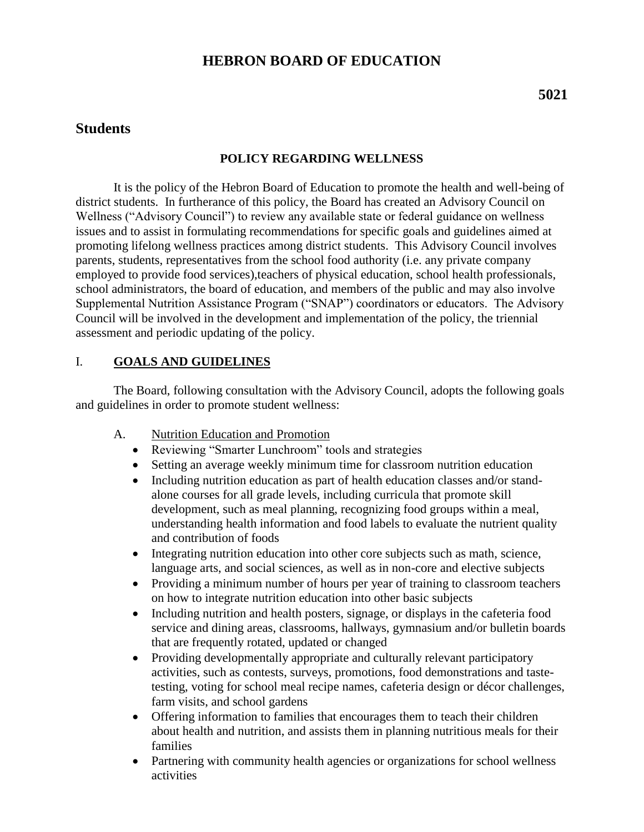# **HEBRON BOARD OF EDUCATION**

# **Students**

# **POLICY REGARDING WELLNESS**

It is the policy of the Hebron Board of Education to promote the health and well-being of district students. In furtherance of this policy, the Board has created an Advisory Council on Wellness ("Advisory Council") to review any available state or federal guidance on wellness issues and to assist in formulating recommendations for specific goals and guidelines aimed at promoting lifelong wellness practices among district students. This Advisory Council involves parents, students, representatives from the school food authority (i.e. any private company employed to provide food services),teachers of physical education, school health professionals, school administrators, the board of education, and members of the public and may also involve Supplemental Nutrition Assistance Program ("SNAP") coordinators or educators. The Advisory Council will be involved in the development and implementation of the policy, the triennial assessment and periodic updating of the policy.

# I. **GOALS AND GUIDELINES**

The Board, following consultation with the Advisory Council, adopts the following goals and guidelines in order to promote student wellness:

- A. Nutrition Education and Promotion
	- Reviewing "Smarter Lunchroom" tools and strategies
	- Setting an average weekly minimum time for classroom nutrition education
	- Including nutrition education as part of health education classes and/or standalone courses for all grade levels, including curricula that promote skill development, such as meal planning, recognizing food groups within a meal, understanding health information and food labels to evaluate the nutrient quality and contribution of foods
	- Integrating nutrition education into other core subjects such as math, science, language arts, and social sciences, as well as in non-core and elective subjects
	- Providing a minimum number of hours per year of training to classroom teachers on how to integrate nutrition education into other basic subjects
	- Including nutrition and health posters, signage, or displays in the cafeteria food service and dining areas, classrooms, hallways, gymnasium and/or bulletin boards that are frequently rotated, updated or changed
	- Providing developmentally appropriate and culturally relevant participatory activities, such as contests, surveys, promotions, food demonstrations and tastetesting, voting for school meal recipe names, cafeteria design or décor challenges, farm visits, and school gardens
	- Offering information to families that encourages them to teach their children about health and nutrition, and assists them in planning nutritious meals for their families
	- Partnering with community health agencies or organizations for school wellness activities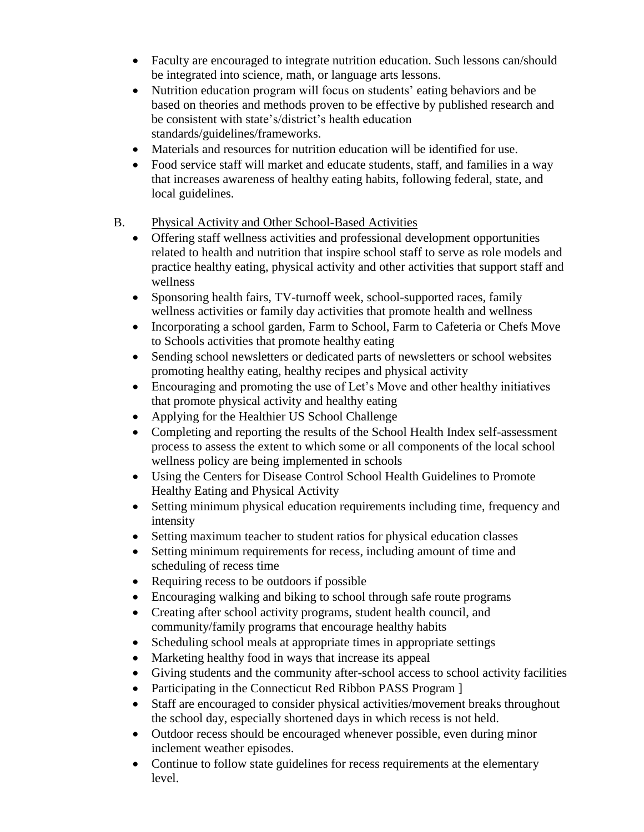- Faculty are encouraged to integrate nutrition education. Such lessons can/should be integrated into science, math, or language arts lessons.
- Nutrition education program will focus on students' eating behaviors and be based on theories and methods proven to be effective by published research and be consistent with state's/district's health education standards/guidelines/frameworks.
- Materials and resources for nutrition education will be identified for use.
- Food service staff will market and educate students, staff, and families in a way that increases awareness of healthy eating habits, following federal, state, and local guidelines.
- B. Physical Activity and Other School-Based Activities
	- Offering staff wellness activities and professional development opportunities related to health and nutrition that inspire school staff to serve as role models and practice healthy eating, physical activity and other activities that support staff and wellness
	- Sponsoring health fairs, TV-turnoff week, school-supported races, family wellness activities or family day activities that promote health and wellness
	- Incorporating a school garden, Farm to School, Farm to Cafeteria or Chefs Move to Schools activities that promote healthy eating
	- Sending school newsletters or dedicated parts of newsletters or school websites promoting healthy eating, healthy recipes and physical activity
	- Encouraging and promoting the use of Let's Move and other healthy initiatives that promote physical activity and healthy eating
	- Applying for the Healthier US School Challenge
	- Completing and reporting the results of the School Health Index self-assessment process to assess the extent to which some or all components of the local school wellness policy are being implemented in schools
	- Using the Centers for Disease Control School Health Guidelines to Promote Healthy Eating and Physical Activity
	- Setting minimum physical education requirements including time, frequency and intensity
	- Setting maximum teacher to student ratios for physical education classes
	- Setting minimum requirements for recess, including amount of time and scheduling of recess time
	- Requiring recess to be outdoors if possible
	- Encouraging walking and biking to school through safe route programs
	- Creating after school activity programs, student health council, and community/family programs that encourage healthy habits
	- Scheduling school meals at appropriate times in appropriate settings
	- Marketing healthy food in ways that increase its appeal
	- Giving students and the community after-school access to school activity facilities
	- Participating in the Connecticut Red Ribbon PASS Program ]
	- Staff are encouraged to consider physical activities/movement breaks throughout the school day, especially shortened days in which recess is not held.
	- Outdoor recess should be encouraged whenever possible, even during minor inclement weather episodes.
	- Continue to follow state guidelines for recess requirements at the elementary level.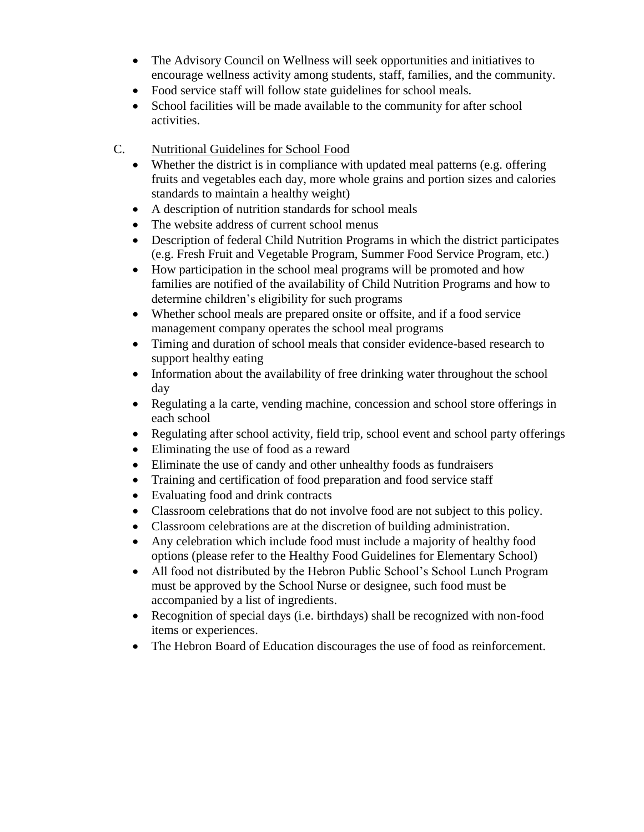- The Advisory Council on Wellness will seek opportunities and initiatives to encourage wellness activity among students, staff, families, and the community.
- Food service staff will follow state guidelines for school meals.
- School facilities will be made available to the community for after school activities.
- C. Nutritional Guidelines for School Food
	- Whether the district is in compliance with updated meal patterns (e.g. offering fruits and vegetables each day, more whole grains and portion sizes and calories standards to maintain a healthy weight)
	- A description of nutrition standards for school meals
	- The website address of current school menus
	- Description of federal Child Nutrition Programs in which the district participates (e.g. Fresh Fruit and Vegetable Program, Summer Food Service Program, etc.)
	- How participation in the school meal programs will be promoted and how families are notified of the availability of Child Nutrition Programs and how to determine children's eligibility for such programs
	- Whether school meals are prepared onsite or offsite, and if a food service management company operates the school meal programs
	- Timing and duration of school meals that consider evidence-based research to support healthy eating
	- Information about the availability of free drinking water throughout the school day
	- Regulating a la carte, vending machine, concession and school store offerings in each school
	- Regulating after school activity, field trip, school event and school party offerings
	- Eliminating the use of food as a reward
	- Eliminate the use of candy and other unhealthy foods as fundraisers
	- Training and certification of food preparation and food service staff
	- Evaluating food and drink contracts
	- Classroom celebrations that do not involve food are not subject to this policy.
	- Classroom celebrations are at the discretion of building administration.
	- Any celebration which include food must include a majority of healthy food options (please refer to the Healthy Food Guidelines for Elementary School)
	- All food not distributed by the Hebron Public School's School Lunch Program must be approved by the School Nurse or designee, such food must be accompanied by a list of ingredients.
	- Recognition of special days (i.e. birthdays) shall be recognized with non-food items or experiences.
	- The Hebron Board of Education discourages the use of food as reinforcement.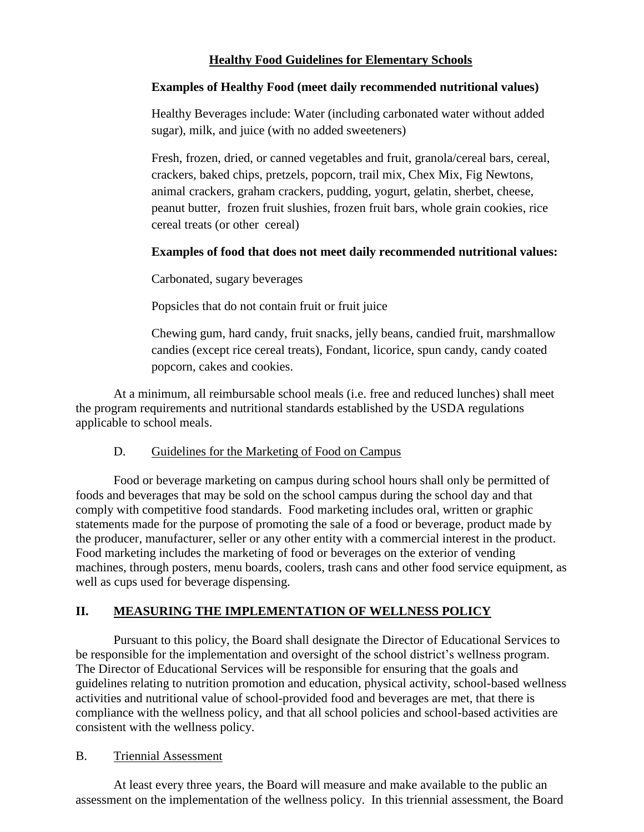# **Healthy Food Guidelines for Elementary Schools**

### **Examples of Healthy Food (meet daily recommended nutritional values)**

Healthy Beverages include: Water (including carbonated water without added sugar), milk, and juice (with no added sweeteners)

Fresh, frozen, dried, or canned vegetables and fruit, granola/cereal bars, cereal, crackers, baked chips, pretzels, popcorn, trail mix, Chex Mix, Fig Newtons, animal crackers, graham crackers, pudding, yogurt, gelatin, sherbet, cheese, peanut butter, frozen fruit slushies, frozen fruit bars, whole grain cookies, rice cereal treats (or other cereal)

# **Examples of food that does not meet daily recommended nutritional values:**

Carbonated, sugary beverages

Popsicles that do not contain fruit or fruit juice

Chewing gum, hard candy, fruit snacks, jelly beans, candied fruit, marshmallow candies (except rice cereal treats), Fondant, licorice, spun candy, candy coated popcorn, cakes and cookies.

At a minimum, all reimbursable school meals (i.e. free and reduced lunches) shall meet the program requirements and nutritional standards established by the USDA regulations applicable to school meals.

#### D. Guidelines for the Marketing of Food on Campus

Food or beverage marketing on campus during school hours shall only be permitted of foods and beverages that may be sold on the school campus during the school day and that comply with competitive food standards. Food marketing includes oral, written or graphic statements made for the purpose of promoting the sale of a food or beverage, product made by the producer, manufacturer, seller or any other entity with a commercial interest in the product. Food marketing includes the marketing of food or beverages on the exterior of vending machines, through posters, menu boards, coolers, trash cans and other food service equipment, as well as cups used for beverage dispensing.

# **II. MEASURING THE IMPLEMENTATION OF WELLNESS POLICY**

Pursuant to this policy, the Board shall designate the Director of Educational Services to be responsible for the implementation and oversight of the school district's wellness program. The Director of Educational Services will be responsible for ensuring that the goals and guidelines relating to nutrition promotion and education, physical activity, school-based wellness activities and nutritional value of school-provided food and beverages are met, that there is compliance with the wellness policy, and that all school policies and school-based activities are consistent with the wellness policy.

#### B. Triennial Assessment

At least every three years, the Board will measure and make available to the public an assessment on the implementation of the wellness policy. In this triennial assessment, the Board